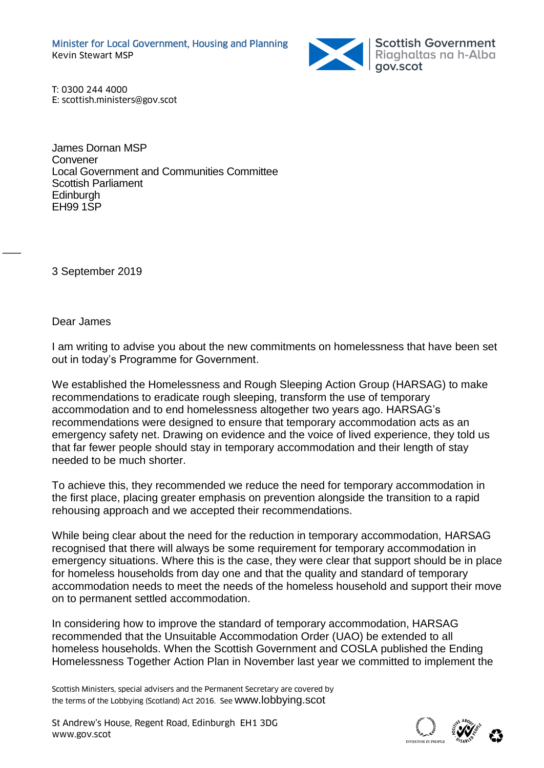

T: 0300 244 4000 E: scottish.ministers@gov.scot

James Dornan MSP Convener Local Government and Communities Committee Scottish Parliament **Edinburgh** EH99 1SP

3 September 2019

Dear James

 $\overline{\phantom{a}}$ 

I am writing to advise you about the new commitments on homelessness that have been set out in today's Programme for Government.

We established the Homelessness and Rough Sleeping Action Group (HARSAG) to make recommendations to eradicate rough sleeping, transform the use of temporary accommodation and to end homelessness altogether two years ago. HARSAG's recommendations were designed to ensure that temporary accommodation acts as an emergency safety net. Drawing on evidence and the voice of lived experience, they told us that far fewer people should stay in temporary accommodation and their length of stay needed to be much shorter.

To achieve this, they recommended we reduce the need for temporary accommodation in the first place, placing greater emphasis on prevention alongside the transition to a rapid rehousing approach and we accepted their recommendations.

While being clear about the need for the reduction in temporary accommodation, HARSAG recognised that there will always be some requirement for temporary accommodation in emergency situations. Where this is the case, they were clear that support should be in place for homeless households from day one and that the quality and standard of temporary accommodation needs to meet the needs of the homeless household and support their move on to permanent settled accommodation.

In considering how to improve the standard of temporary accommodation, HARSAG recommended that the Unsuitable Accommodation Order (UAO) be extended to all homeless households. When the Scottish Government and COSLA published the Ending Homelessness Together Action Plan in November last year we committed to implement the

Scottish Ministers, special advisers and the Permanent Secretary are covered by the terms of the Lobbying (Scotland) Act 2016. See [www.lobbying.scot](http://www.lobbying.scot/)

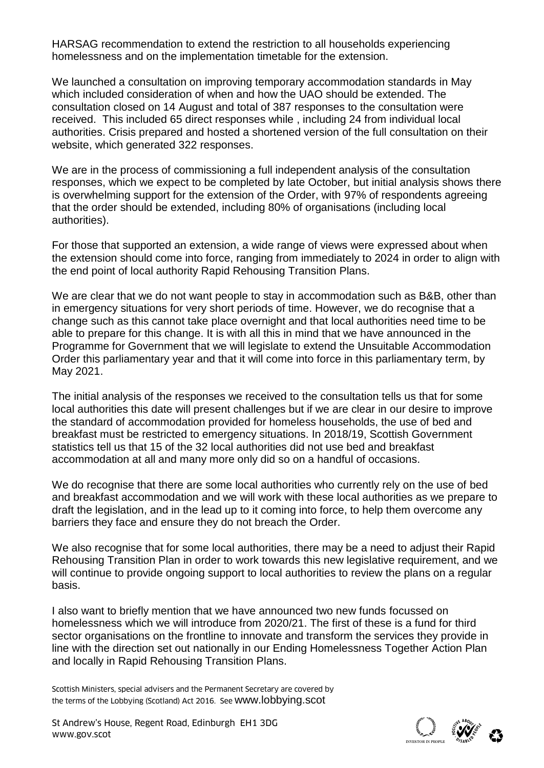HARSAG recommendation to extend the restriction to all households experiencing homelessness and on the implementation timetable for the extension.

We launched a consultation on improving temporary accommodation standards in May which included consideration of when and how the UAO should be extended. The consultation closed on 14 August and total of 387 responses to the consultation were received. This included 65 direct responses while , including 24 from individual local authorities. Crisis prepared and hosted a shortened version of the full consultation on their website, which generated 322 responses.

We are in the process of commissioning a full independent analysis of the consultation responses, which we expect to be completed by late October, but initial analysis shows there is overwhelming support for the extension of the Order, with 97% of respondents agreeing that the order should be extended, including 80% of organisations (including local authorities).

For those that supported an extension, a wide range of views were expressed about when the extension should come into force, ranging from immediately to 2024 in order to align with the end point of local authority Rapid Rehousing Transition Plans.

We are clear that we do not want people to stay in accommodation such as B&B, other than in emergency situations for very short periods of time. However, we do recognise that a change such as this cannot take place overnight and that local authorities need time to be able to prepare for this change. It is with all this in mind that we have announced in the Programme for Government that we will legislate to extend the Unsuitable Accommodation Order this parliamentary year and that it will come into force in this parliamentary term, by May 2021.

The initial analysis of the responses we received to the consultation tells us that for some local authorities this date will present challenges but if we are clear in our desire to improve the standard of accommodation provided for homeless households, the use of bed and breakfast must be restricted to emergency situations. In 2018/19, Scottish Government statistics tell us that 15 of the 32 local authorities did not use bed and breakfast accommodation at all and many more only did so on a handful of occasions.

We do recognise that there are some local authorities who currently rely on the use of bed and breakfast accommodation and we will work with these local authorities as we prepare to draft the legislation, and in the lead up to it coming into force, to help them overcome any barriers they face and ensure they do not breach the Order.

We also recognise that for some local authorities, there may be a need to adjust their Rapid Rehousing Transition Plan in order to work towards this new legislative requirement, and we will continue to provide ongoing support to local authorities to review the plans on a regular basis.

I also want to briefly mention that we have announced two new funds focussed on homelessness which we will introduce from 2020/21. The first of these is a fund for third sector organisations on the frontline to innovate and transform the services they provide in line with the direction set out nationally in our Ending Homelessness Together Action Plan and locally in Rapid Rehousing Transition Plans.

Scottish Ministers, special advisers and the Permanent Secretary are covered by the terms of the Lobbying (Scotland) Act 2016. See [www.lobbying.scot](http://www.lobbying.scot/)

St Andrew's House, Regent Road, Edinburgh EH1 3DG<br>www.gov.scot www.gov.scot